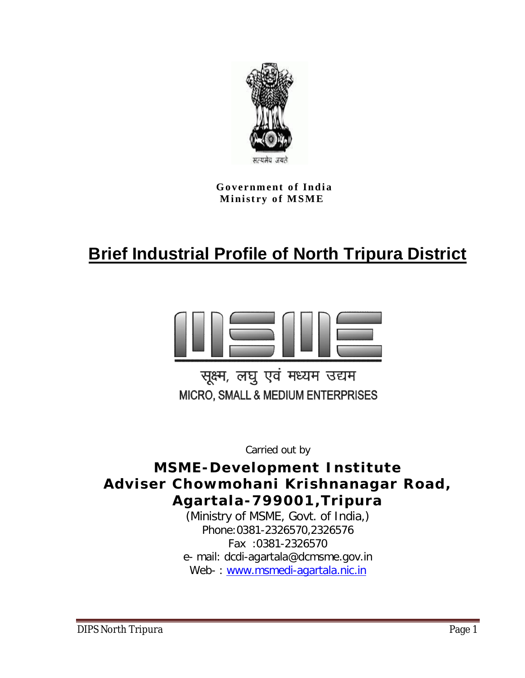

**Government of India Ministry of MSME** 

# **Brief Industrial Profile of North Tripura District**



सूक्ष्म, लघु एवं मध्यम उद्यम MICRO, SMALL & MEDIUM ENTERPRISES

Carried out by

**MSME-Development Institute Adviser Chowmohani Krishnanagar Road, Agartala-799001,Tripura**

(Ministry of MSME, Govt. of India,) Phone:0381-2326570,2326576 Fax :0381-2326570 e- mail: dcdi-agartala@dcmsme.gov.in Web-: www.msmedi-agartala.nic.in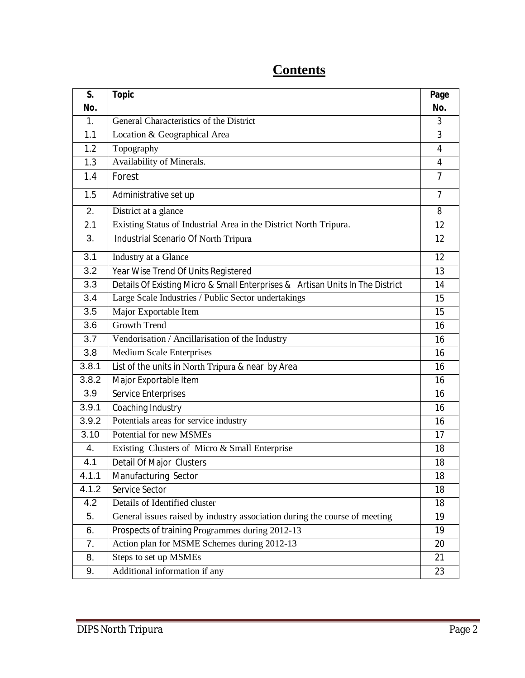| S.    | <b>Topic</b>                                                                  | Page           |
|-------|-------------------------------------------------------------------------------|----------------|
| No.   |                                                                               | No.            |
| 1.    | General Characteristics of the District                                       | 3              |
| 1.1   | Location & Geographical Area                                                  | 3              |
| 1.2   | Topography                                                                    | 4              |
| 1.3   | Availability of Minerals.                                                     | 4              |
| 1.4   | Forest                                                                        | $\overline{7}$ |
| 1.5   | Administrative set up                                                         | $\overline{7}$ |
| 2.    | District at a glance                                                          | 8              |
| 2.1   | Existing Status of Industrial Area in the District North Tripura.             | 12             |
| 3.    | Industrial Scenario Of North Tripura                                          | 12             |
| 3.1   | Industry at a Glance                                                          | 12             |
| 3.2   | Year Wise Trend Of Units Registered                                           | 13             |
| 3.3   | Details Of Existing Micro & Small Enterprises & Artisan Units In The District | 14             |
| 3.4   | Large Scale Industries / Public Sector undertakings                           | 15             |
| 3.5   | Major Exportable Item                                                         | 15             |
| 3.6   | <b>Growth Trend</b>                                                           | 16             |
| 3.7   | Vendorisation / Ancillarisation of the Industry                               | 16             |
| 3.8   | <b>Medium Scale Enterprises</b>                                               | 16             |
| 3.8.1 | List of the units in North Tripura & near by Area                             | 16             |
| 3.8.2 | Major Exportable Item                                                         | 16             |
| 3.9   | Service Enterprises                                                           | 16             |
| 3.9.1 | Coaching Industry                                                             | 16             |
| 3.9.2 | Potentials areas for service industry                                         | 16             |
| 3.10  | Potential for new MSMEs                                                       | 17             |
| 4.    | Existing Clusters of Micro & Small Enterprise                                 | 18             |
| 4.1   | Detail Of Major Clusters                                                      | 18             |
| 4.1.1 | Manufacturing Sector                                                          | 18             |
| 4.1.2 | Service Sector                                                                | 18             |
| 4.2   | Details of Identified cluster                                                 | 18             |
| 5.    | General issues raised by industry association during the course of meeting    | 19             |
| 6.    | Prospects of training Programmes during 2012-13                               | 19             |
| 7.    | Action plan for MSME Schemes during 2012-13                                   | 20             |
| 8.    | Steps to set up MSMEs                                                         | 21             |
| 9.    | Additional information if any                                                 | 23             |

# **Contents**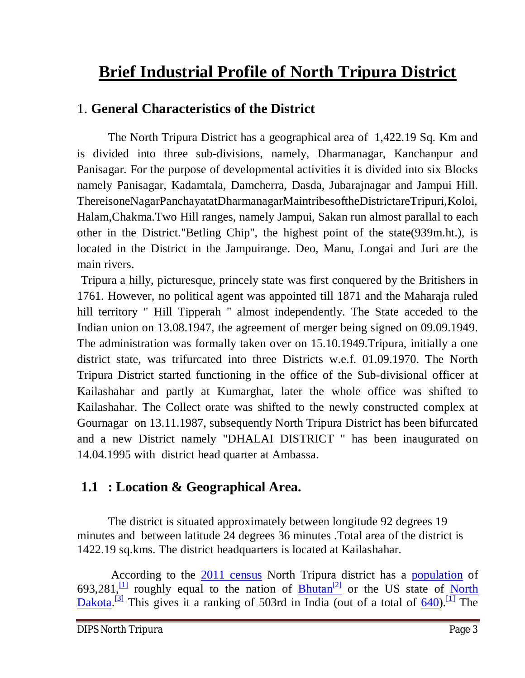# **Brief Industrial Profile of North Tripura District**

### 1. **General Characteristics of the District**

The North Tripura District has a geographical area of 1,422.19 Sq. Km and is divided into three sub-divisions, namely, Dharmanagar, Kanchanpur and Panisagar. For the purpose of developmental activities it is divided into six Blocks namely Panisagar, Kadamtala, Damcherra, Dasda, Jubarajnagar and Jampui Hill. ThereisoneNagarPanchayatatDharmanagarMaintribesoftheDistrictareTripuri,Koloi, Halam,Chakma.Two Hill ranges, namely Jampui, Sakan run almost parallal to each other in the District."Betling Chip", the highest point of the state(939m.ht.), is located in the District in the Jampuirange. Deo, Manu, Longai and Juri are the main rivers.

Tripura a hilly, picturesque, princely state was first conquered by the Britishers in 1761. However, no political agent was appointed till 1871 and the Maharaja ruled hill territory " Hill Tipperah " almost independently. The State acceded to the Indian union on 13.08.1947, the agreement of merger being signed on 09.09.1949. The administration was formally taken over on 15.10.1949.Tripura, initially a one district state, was trifurcated into three Districts w.e.f. 01.09.1970. The North Tripura District started functioning in the office of the Sub-divisional officer at Kailashahar and partly at Kumarghat, later the whole office was shifted to Kailashahar. The Collect orate was shifted to the newly constructed complex at Gournagar on 13.11.1987, subsequently North Tripura District has been bifurcated and a new District namely "DHALAI DISTRICT " has been inaugurated on 14.04.1995 with district head quarter at Ambassa.

### **1.1 : Location & Geographical Area.**

The district is situated approximately between longitude 92 degrees 19 minutes and between latitude 24 degrees 36 minutes .Total area of the district is 1422.19 sq.kms. The district headquarters is located at Kailashahar.

According to the 2011 census North Tripura district has a population of 693,281,  $\frac{11}{11}$  roughly equal to the nation of Bhutan<sup>[2]</sup> or the US state of North Dakota.<sup>[3]</sup> This gives it a ranking of 503rd in India (out of a total of  $\underline{640}$ ).<sup>[1]</sup> The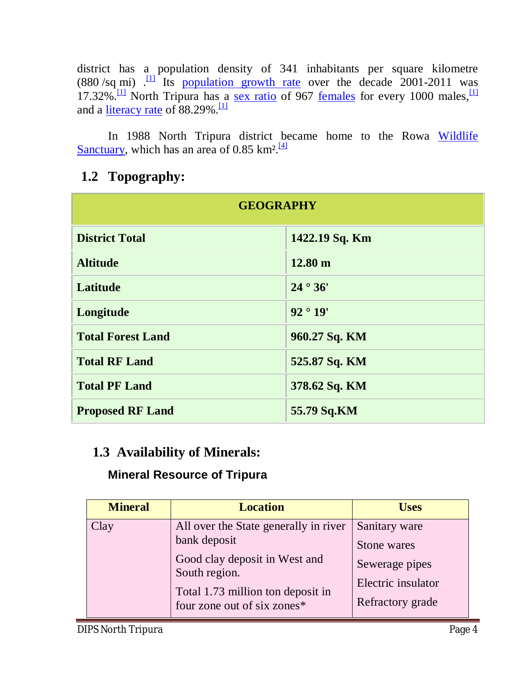district has a population density of 341 inhabitants per square kilometre (880 /sq mi)  $\frac{11}{11}$  Its population growth rate over the decade 2001-2011 was 17.32%.<sup>[1]</sup> North Tripura has a <u>sex ratio</u> of 967 <u>females</u> for every 1000 males,<sup>[1]</sup> and a <u>literacy rate</u> of 88.29%.<sup>[1]</sup>

In 1988 North Tripura district became home to the Rowa Wildlife Sanctuary, which has an area of 0.85 km<sup>2.[4]</sup>

### **1.2 Topography:**

| <b>GEOGRAPHY</b>         |                   |  |  |
|--------------------------|-------------------|--|--|
| <b>District Total</b>    | 1422.19 Sq. Km    |  |  |
| <b>Altitude</b>          | $12.80 \text{ m}$ |  |  |
| <b>Latitude</b>          | 24°36'            |  |  |
| Longitude                | 92°19'            |  |  |
| <b>Total Forest Land</b> | 960.27 Sq. KM     |  |  |
| <b>Total RF Land</b>     | 525.87 Sq. KM     |  |  |
| <b>Total PF Land</b>     | 378.62 Sq. KM     |  |  |
| <b>Proposed RF Land</b>  | 55.79 Sq.KM       |  |  |

#### **1.3 Availability of Minerals:**

#### **Mineral Resource of Tripura**

|                                                                                                                                                                                                               | <b>Mineral</b> | <b>Location</b>                       | <b>Uses</b>   |
|---------------------------------------------------------------------------------------------------------------------------------------------------------------------------------------------------------------|----------------|---------------------------------------|---------------|
| bank deposit<br>Stone wares<br>Good clay deposit in West and<br>Sewerage pipes<br>South region.<br>Electric insulator<br>Total 1.73 million ton deposit in<br>Refractory grade<br>four zone out of six zones* | Clay           | All over the State generally in river | Sanitary ware |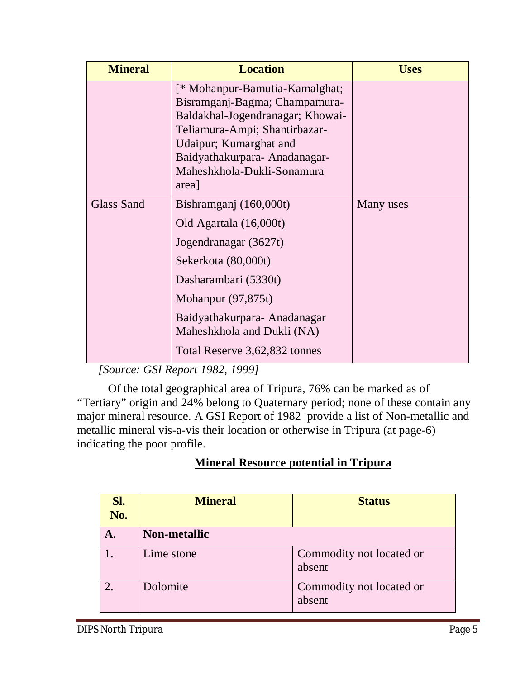| <b>Mineral</b>    | <b>Location</b>                                                                                                                                                                                                                                | <b>Uses</b> |
|-------------------|------------------------------------------------------------------------------------------------------------------------------------------------------------------------------------------------------------------------------------------------|-------------|
|                   | [* Mohanpur-Bamutia-Kamalghat;<br>Bisramganj-Bagma; Champamura-<br>Baldakhal-Jogendranagar; Khowai-<br>Teliamura-Ampi; Shantirbazar-<br>Udaipur; Kumarghat and<br>Baidyathakurpara-Anadanagar-<br>Maheshkhola-Dukli-Sonamura<br>area]          |             |
| <b>Glass Sand</b> | Bishramganj (160,000t)<br>Old Agartala (16,000t)<br>Jogendranagar (3627t)<br>Sekerkota (80,000t)<br>Dasharambari (5330t)<br>Mohanpur $(97,875t)$<br>Baidyathakurpara-Anadanagar<br>Maheshkhola and Dukli (NA)<br>Total Reserve 3,62,832 tonnes | Many uses   |

 *[Source: GSI Report 1982, 1999]* 

Of the total geographical area of Tripura, 76% can be marked as of "Tertiary" origin and 24% belong to Quaternary period; none of these contain any major mineral resource. A GSI Report of 1982 provide a list of Non-metallic and metallic mineral vis-a-vis their location or otherwise in Tripura (at page-6) indicating the poor profile.

#### **Mineral Resource potential in Tripura**

| Sl.<br>No.     | <b>Mineral</b>      | <b>Status</b>                      |
|----------------|---------------------|------------------------------------|
| Α.             | <b>Non-metallic</b> |                                    |
|                | Lime stone          | Commodity not located or<br>absent |
| $\overline{2}$ | Dolomite            | Commodity not located or<br>absent |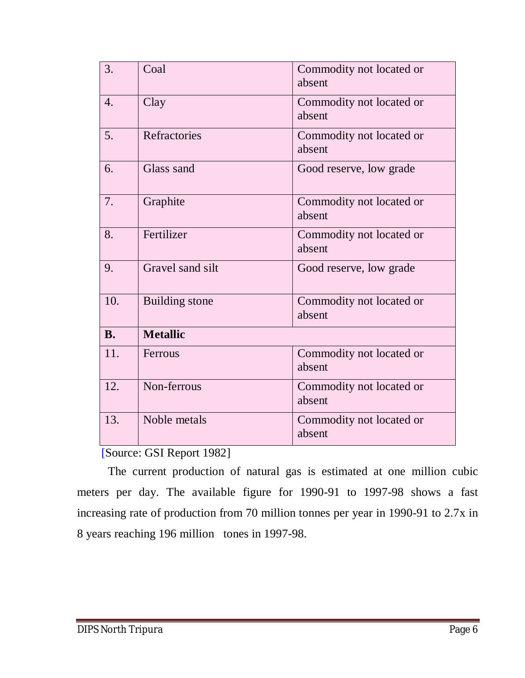| 3.        | Coal                  | Commodity not located or<br>absent |
|-----------|-----------------------|------------------------------------|
|           |                       |                                    |
| 4.        | Clay                  | Commodity not located or           |
|           |                       | absent                             |
| 5.        | <b>Refractories</b>   | Commodity not located or           |
|           |                       | absent                             |
| 6.        | Glass sand            | Good reserve, low grade            |
|           |                       |                                    |
| 7.        | Graphite              | Commodity not located or           |
|           |                       | absent                             |
| 8.        | Fertilizer            | Commodity not located or           |
|           |                       | absent                             |
| 9.        | Gravel sand silt      | Good reserve, low grade            |
|           |                       |                                    |
| 10.       | <b>Building</b> stone | Commodity not located or           |
|           |                       | absent                             |
| <b>B.</b> | <b>Metallic</b>       |                                    |
| 11.       | Ferrous               | Commodity not located or           |
|           |                       | absent                             |
|           |                       |                                    |
| 12.       | Non-ferrous           | Commodity not located or           |
|           |                       | absent                             |
| 13.       | Noble metals          | Commodity not located or           |
|           |                       | absent                             |
|           |                       |                                    |

[Source: GSI Report 1982]

 The current production of natural gas is estimated at one million cubic meters per day. The available figure for 1990-91 to 1997-98 shows a fast increasing rate of production from 70 million tonnes per year in 1990-91 to 2.7x in 8 years reaching 196 million tones in 1997-98.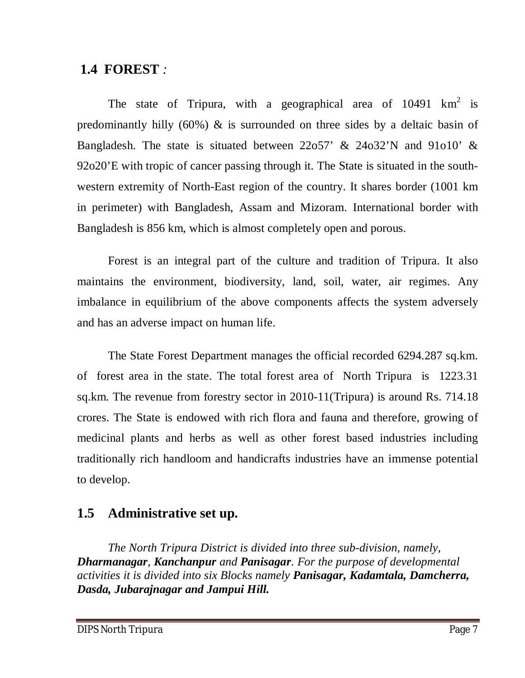### **1.4 FOREST** *:*

The state of Tripura, with a geographical area of 10491  $km^2$  is predominantly hilly (60%)  $\&$  is surrounded on three sides by a deltaic basin of Bangladesh. The state is situated between 22o57' & 24o32'N and 91o10' & 92o20'E with tropic of cancer passing through it. The State is situated in the southwestern extremity of North-East region of the country. It shares border (1001 km in perimeter) with Bangladesh, Assam and Mizoram. International border with Bangladesh is 856 km, which is almost completely open and porous.

Forest is an integral part of the culture and tradition of Tripura. It also maintains the environment, biodiversity, land, soil, water, air regimes. Any imbalance in equilibrium of the above components affects the system adversely and has an adverse impact on human life.

The State Forest Department manages the official recorded 6294.287 sq.km. of forest area in the state. The total forest area of North Tripura is 1223.31 sq.km. The revenue from forestry sector in 2010-11(Tripura) is around Rs. 714.18 crores. The State is endowed with rich flora and fauna and therefore, growing of medicinal plants and herbs as well as other forest based industries including traditionally rich handloom and handicrafts industries have an immense potential to develop.

### **1.5 Administrative set up.**

*The North Tripura District is divided into three sub-division, namely, Dharmanagar, Kanchanpur and Panisagar. For the purpose of developmental activities it is divided into six Blocks namely Panisagar, Kadamtala, Damcherra, Dasda, Jubarajnagar and Jampui Hill.*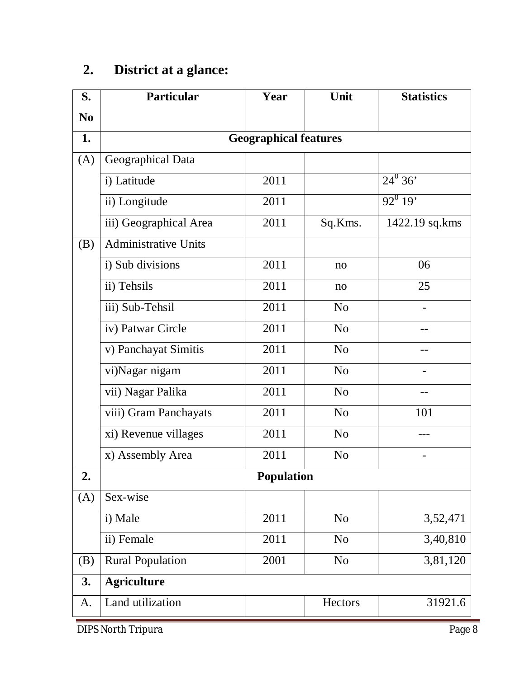# **2. District at a glance:**

| <b>Particular</b>            | Year | Unit           | <b>Statistics</b> |  |  |
|------------------------------|------|----------------|-------------------|--|--|
|                              |      |                |                   |  |  |
| <b>Geographical features</b> |      |                |                   |  |  |
| Geographical Data            |      |                |                   |  |  |
| i) Latitude                  | 2011 |                | $24^{\circ} 36'$  |  |  |
| ii) Longitude                | 2011 |                | $92^0$ 19'        |  |  |
| iii) Geographical Area       | 2011 | Sq.Kms.        | 1422.19 sq.kms    |  |  |
| <b>Administrative Units</b>  |      |                |                   |  |  |
| i) Sub divisions             | 2011 | no             | 06                |  |  |
| ii) Tehsils                  | 2011 | no             | 25                |  |  |
| iii) Sub-Tehsil              | 2011 | N <sub>o</sub> |                   |  |  |
| iv) Patwar Circle            | 2011 | N <sub>o</sub> |                   |  |  |
| v) Panchayat Simitis         | 2011 | N <sub>o</sub> |                   |  |  |
| vi)Nagar nigam               | 2011 | N <sub>o</sub> |                   |  |  |
| vii) Nagar Palika            | 2011 | N <sub>o</sub> |                   |  |  |
| viii) Gram Panchayats        | 2011 | N <sub>o</sub> | 101               |  |  |
| xi) Revenue villages         | 2011 | N <sub>o</sub> |                   |  |  |
| x) Assembly Area             | 2011 | N <sub>o</sub> |                   |  |  |
|                              |      |                |                   |  |  |
| Sex-wise                     |      |                |                   |  |  |
| i) Male                      | 2011 | N <sub>o</sub> | 3,52,471          |  |  |
| ii) Female                   | 2011 | N <sub>o</sub> | 3,40,810          |  |  |
| <b>Rural Population</b>      | 2001 | N <sub>o</sub> | 3,81,120          |  |  |
| <b>Agriculture</b>           |      |                |                   |  |  |
| Land utilization             |      | Hectors        | 31921.6           |  |  |
|                              |      |                | <b>Population</b> |  |  |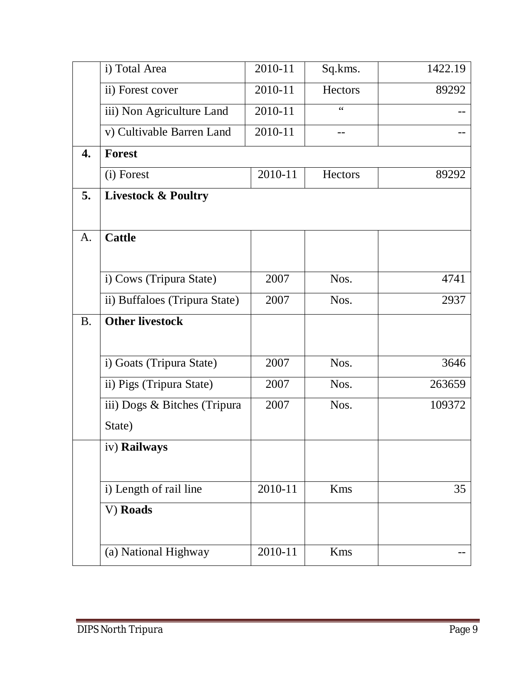|           | i) Total Area                  | 2010-11 | Sq.kms.        | 1422.19 |
|-----------|--------------------------------|---------|----------------|---------|
|           | ii) Forest cover               | 2010-11 | <b>Hectors</b> | 89292   |
|           | iii) Non Agriculture Land      | 2010-11 | 66             |         |
|           | v) Cultivable Barren Land      | 2010-11 | --             |         |
| 4.        | <b>Forest</b>                  |         |                |         |
|           | (i) Forest                     | 2010-11 | <b>Hectors</b> | 89292   |
| 5.        | <b>Livestock &amp; Poultry</b> |         |                |         |
|           |                                |         |                |         |
| A.        | <b>Cattle</b>                  |         |                |         |
|           |                                |         |                |         |
|           | i) Cows (Tripura State)        | 2007    | Nos.           | 4741    |
|           | ii) Buffaloes (Tripura State)  | 2007    | Nos.           | 2937    |
| <b>B.</b> | <b>Other livestock</b>         |         |                |         |
|           |                                |         |                |         |
|           | i) Goats (Tripura State)       | 2007    | Nos.           | 3646    |
|           | ii) Pigs (Tripura State)       | 2007    | Nos.           | 263659  |
|           | iii) Dogs & Bitches (Tripura   | 2007    | Nos.           | 109372  |
|           | State)                         |         |                |         |
|           | iv) Railways                   |         |                |         |
|           |                                |         |                |         |
|           | i) Length of rail line         | 2010-11 | Kms            | 35      |
|           | V) Roads                       |         |                |         |
|           |                                |         |                |         |
|           | (a) National Highway           | 2010-11 | <b>Kms</b>     |         |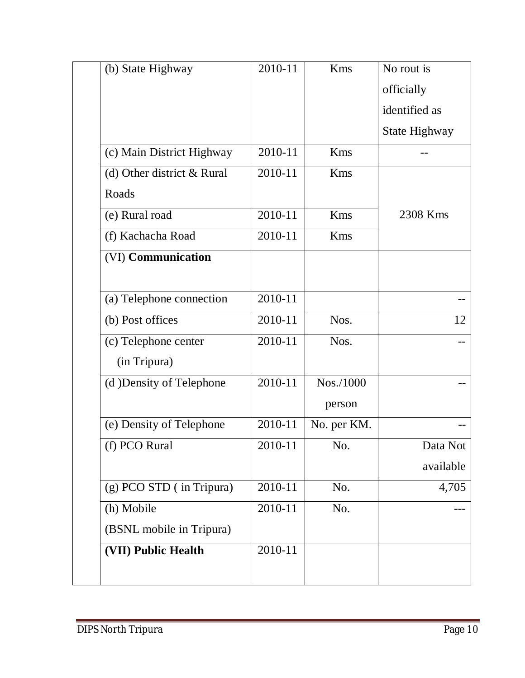| (b) State Highway          | 2010-11 | Kms         | No rout is    |
|----------------------------|---------|-------------|---------------|
|                            |         |             | officially    |
|                            |         |             | identified as |
|                            |         |             | State Highway |
| (c) Main District Highway  | 2010-11 | <b>Kms</b>  |               |
| (d) Other district & Rural | 2010-11 | Kms         |               |
| Roads                      |         |             |               |
| (e) Rural road             | 2010-11 | <b>Kms</b>  | 2308 Kms      |
| (f) Kachacha Road          | 2010-11 | Kms         |               |
| (VI) Communication         |         |             |               |
|                            |         |             |               |
| (a) Telephone connection   | 2010-11 |             |               |
| (b) Post offices           | 2010-11 | Nos.        | 12            |
| (c) Telephone center       | 2010-11 | Nos.        |               |
| (in Tripura)               |         |             |               |
| (d) Density of Telephone   | 2010-11 | Nos./1000   |               |
|                            |         | person      |               |
| (e) Density of Telephone   | 2010-11 | No. per KM. |               |
| (f) PCO Rural              | 2010-11 | No.         | Data Not      |
|                            |         |             | available     |
| (g) PCO STD (in Tripura)   | 2010-11 | No.         | 4,705         |
| (h) Mobile                 | 2010-11 | No.         |               |
| (BSNL mobile in Tripura)   |         |             |               |
| (VII) Public Health        | 2010-11 |             |               |
|                            |         |             |               |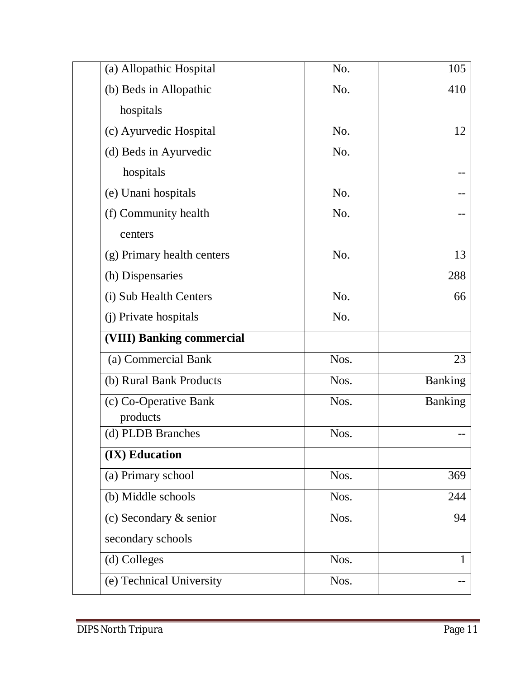| (a) Allopathic Hospital    | No.  | 105            |
|----------------------------|------|----------------|
| (b) Beds in Allopathic     | No.  | 410            |
| hospitals                  |      |                |
| (c) Ayurvedic Hospital     | No.  | 12             |
| (d) Beds in Ayurvedic      | No.  |                |
| hospitals                  |      |                |
| (e) Unani hospitals        | No.  |                |
| (f) Community health       | No.  |                |
| centers                    |      |                |
| (g) Primary health centers | No.  | 13             |
| (h) Dispensaries           |      | 288            |
| (i) Sub Health Centers     | No.  | 66             |
| (j) Private hospitals      | No.  |                |
| (VIII) Banking commercial  |      |                |
| (a) Commercial Bank        | Nos. | 23             |
| (b) Rural Bank Products    | Nos. | <b>Banking</b> |
| (c) Co-Operative Bank      | Nos. | <b>Banking</b> |
| products                   |      |                |
| (d) PLDB Branches          | Nos. |                |
| (IX) Education             |      |                |
| (a) Primary school         | Nos. | 369            |
| (b) Middle schools         | Nos. | 244            |
| $(c)$ Secondary $&$ senior | Nos. | 94             |
| secondary schools          |      |                |
| (d) Colleges               | Nos. | 1              |
| (e) Technical University   | Nos. |                |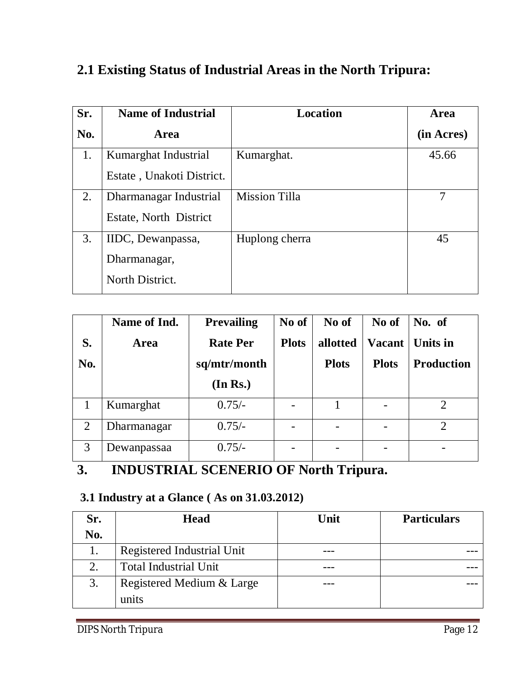### **2.1 Existing Status of Industrial Areas in the North Tripura:**

| Sr. | <b>Name of Industrial</b> | <b>Location</b>      | Area       |
|-----|---------------------------|----------------------|------------|
| No. | <b>Area</b>               |                      | (in Acres) |
| 1.  | Kumarghat Industrial      | Kumarghat.           | 45.66      |
|     | Estate, Unakoti District. |                      |            |
| 2.  | Dharmanagar Industrial    | <b>Mission Tilla</b> |            |
|     | Estate, North District    |                      |            |
| 3.  | IIDC, Dewanpassa,         | Huplong cherra       | 45         |
|     | Dharmanagar,              |                      |            |
|     | North District.           |                      |            |

|                | Name of Ind. | <b>Prevailing</b> | No of                    | No of        | No of         | No. of            |
|----------------|--------------|-------------------|--------------------------|--------------|---------------|-------------------|
| S.             | Area         | <b>Rate Per</b>   | <b>Plots</b>             | allotted     | <b>Vacant</b> | Units in          |
| <b>No.</b>     |              | sq/mtr/month      |                          | <b>Plots</b> | <b>Plots</b>  | <b>Production</b> |
|                |              | (In Rs.)          |                          |              |               |                   |
|                | Kumarghat    | $0.75/-$          | $\overline{\phantom{0}}$ |              |               | $\overline{2}$    |
| $\overline{2}$ | Dharmanagar  | $0.75/-$          |                          |              |               | $\overline{2}$    |
| 3              | Dewanpassaa  | $0.75/-$          |                          |              |               | -                 |

### **3. INDUSTRIAL SCENERIO OF North Tripura.**

### **3.1 Industry at a Glance ( As on 31.03.2012)**

| Sr.        | <b>Head</b>                  | Unit | <b>Particulars</b> |
|------------|------------------------------|------|--------------------|
| <b>No.</b> |                              |      |                    |
|            | Registered Industrial Unit   |      |                    |
| 2.         | <b>Total Industrial Unit</b> |      |                    |
| 3.         | Registered Medium & Large    |      |                    |
|            | units                        |      |                    |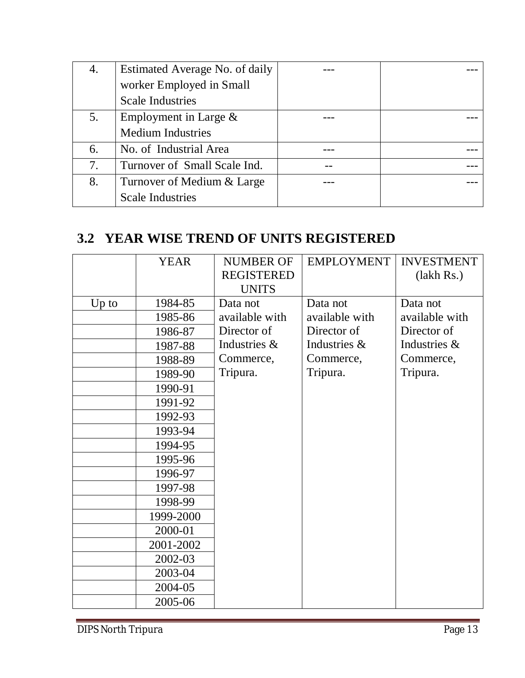| 4. | Estimated Average No. of daily |  |
|----|--------------------------------|--|
|    | worker Employed in Small       |  |
|    | <b>Scale Industries</b>        |  |
| 5. | Employment in Large $\&$       |  |
|    | <b>Medium Industries</b>       |  |
| 6. | No. of Industrial Area         |  |
| 7. | Turnover of Small Scale Ind.   |  |
| 8. | Turnover of Medium & Large     |  |
|    | <b>Scale Industries</b>        |  |

### **3.2 YEAR WISE TREND OF UNITS REGISTERED**

|         | <b>YEAR</b> | <b>NUMBER OF</b>  | <b>EMPLOYMENT</b> | <b>INVESTMENT</b> |
|---------|-------------|-------------------|-------------------|-------------------|
|         |             | <b>REGISTERED</b> |                   | (lakh Rs.)        |
|         |             | <b>UNITS</b>      |                   |                   |
| $Up$ to | 1984-85     | Data not          | Data not          | Data not          |
|         | 1985-86     | available with    | available with    | available with    |
|         | 1986-87     | Director of       | Director of       | Director of       |
|         | 1987-88     | Industries &      | Industries &      | Industries &      |
|         | 1988-89     | Commerce,         | Commerce,         | Commerce,         |
|         | 1989-90     | Tripura.          | Tripura.          | Tripura.          |
|         | 1990-91     |                   |                   |                   |
|         | 1991-92     |                   |                   |                   |
|         | 1992-93     |                   |                   |                   |
|         | 1993-94     |                   |                   |                   |
|         | 1994-95     |                   |                   |                   |
|         | 1995-96     |                   |                   |                   |
|         | 1996-97     |                   |                   |                   |
|         | 1997-98     |                   |                   |                   |
|         | 1998-99     |                   |                   |                   |
|         | 1999-2000   |                   |                   |                   |
|         | 2000-01     |                   |                   |                   |
|         | 2001-2002   |                   |                   |                   |
|         | 2002-03     |                   |                   |                   |
|         | 2003-04     |                   |                   |                   |
|         | 2004-05     |                   |                   |                   |
|         | 2005-06     |                   |                   |                   |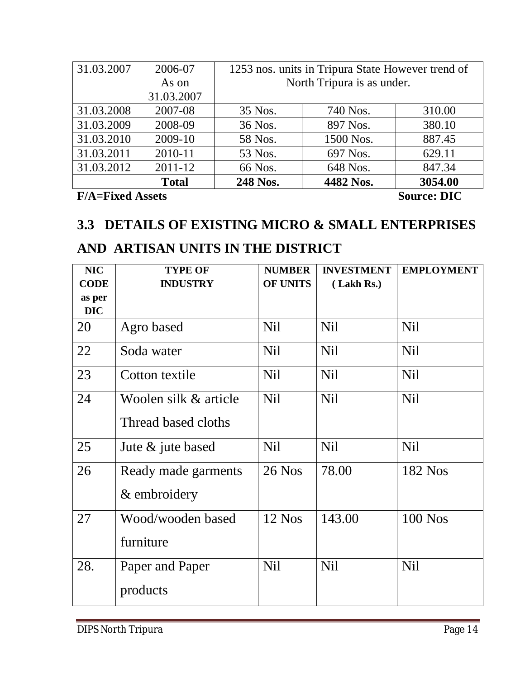| 31.03.2007 | 2006-07      | 1253 nos. units in Tripura State However trend of |           |         |
|------------|--------------|---------------------------------------------------|-----------|---------|
|            | As on        | North Tripura is as under.                        |           |         |
|            | 31.03.2007   |                                                   |           |         |
| 31.03.2008 | 2007-08      | 35 Nos.                                           | 740 Nos.  | 310.00  |
| 31.03.2009 | 2008-09      | 36 Nos.                                           | 897 Nos.  | 380.10  |
| 31.03.2010 | 2009-10      | 58 Nos.                                           | 1500 Nos. | 887.45  |
| 31.03.2011 | 2010-11      | 53 Nos.                                           | 697 Nos.  | 629.11  |
| 31.03.2012 | $2011 - 12$  | 66 Nos.                                           | 648 Nos.  | 847.34  |
|            | <b>Total</b> | 248 Nos.                                          | 4482 Nos. | 3054.00 |

**F/A=Fixed Assets** Source: DIC

### **3.3 DETAILS OF EXISTING MICRO & SMALL ENTERPRISES**

### **AND ARTISAN UNITS IN THE DISTRICT**

| <b>NIC</b>  | <b>TYPE OF</b>        | <b>NUMBER</b>   | <b>INVESTMENT</b> | <b>EMPLOYMENT</b> |
|-------------|-----------------------|-----------------|-------------------|-------------------|
| <b>CODE</b> | <b>INDUSTRY</b>       | <b>OF UNITS</b> | (Lakh Rs.)        |                   |
| as per      |                       |                 |                   |                   |
| <b>DIC</b>  |                       |                 |                   |                   |
| 20          | Agro based            | <b>Nil</b>      | <b>Nil</b>        | Nil               |
| 22          | Soda water            | <b>Nil</b>      | <b>Nil</b>        | <b>Nil</b>        |
| 23          | Cotton textile        | <b>Nil</b>      | <b>Nil</b>        | <b>Nil</b>        |
| 24          | Woolen silk & article | <b>Nil</b>      | <b>Nil</b>        | <b>Nil</b>        |
|             | Thread based cloths   |                 |                   |                   |
| 25          | Jute & jute based     | <b>Nil</b>      | <b>Nil</b>        | <b>Nil</b>        |
| 26          | Ready made garments   | 26 Nos          | 78.00             | 182 Nos           |
|             | & embroidery          |                 |                   |                   |
| 27          | Wood/wooden based     | $12$ Nos        | 143.00            | $100$ Nos         |
|             | furniture             |                 |                   |                   |
| 28.         | Paper and Paper       | <b>Nil</b>      | <b>Nil</b>        | <b>Nil</b>        |
|             | products              |                 |                   |                   |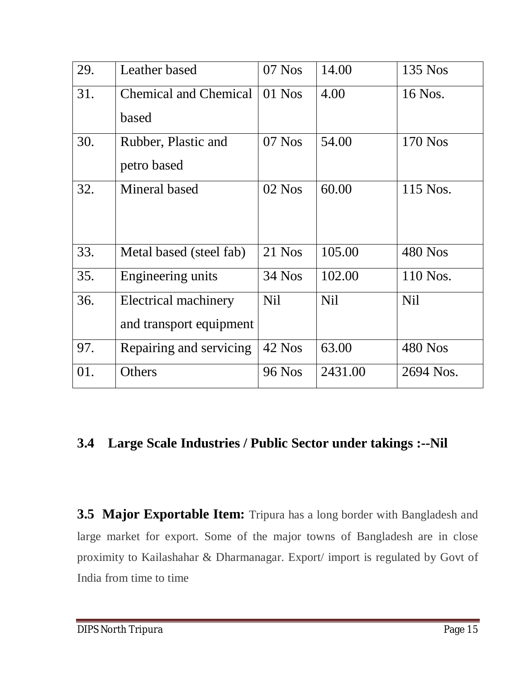| 29. | Leather based                | $07$ Nos      | 14.00      | 135 Nos    |
|-----|------------------------------|---------------|------------|------------|
| 31. | <b>Chemical and Chemical</b> | $01$ Nos      | 4.00       | 16 Nos.    |
|     | based                        |               |            |            |
| 30. | Rubber, Plastic and          | $07$ Nos      | 54.00      | 170 Nos    |
|     | petro based                  |               |            |            |
| 32. | Mineral based                | $02$ Nos      | 60.00      | 115 Nos.   |
|     |                              |               |            |            |
|     |                              |               |            |            |
| 33. | Metal based (steel fab)      | $21$ Nos      | 105.00     | 480 Nos    |
| 35. | Engineering units            | <b>34 Nos</b> | 102.00     | 110 Nos.   |
| 36. | Electrical machinery         | <b>Nil</b>    | <b>Nil</b> | <b>Nil</b> |
|     | and transport equipment      |               |            |            |
| 97. | Repairing and servicing      | 42 Nos        | 63.00      | 480 Nos    |
| 01. | Others                       | <b>96 Nos</b> | 2431.00    | 2694 Nos.  |

### **3.4 Large Scale Industries / Public Sector under takings :--Nil**

**3.5 Major Exportable Item:** Tripura has a long border with Bangladesh and large market for export. Some of the major towns of Bangladesh are in close proximity to Kailashahar & Dharmanagar. Export/ import is regulated by Govt of India from time to time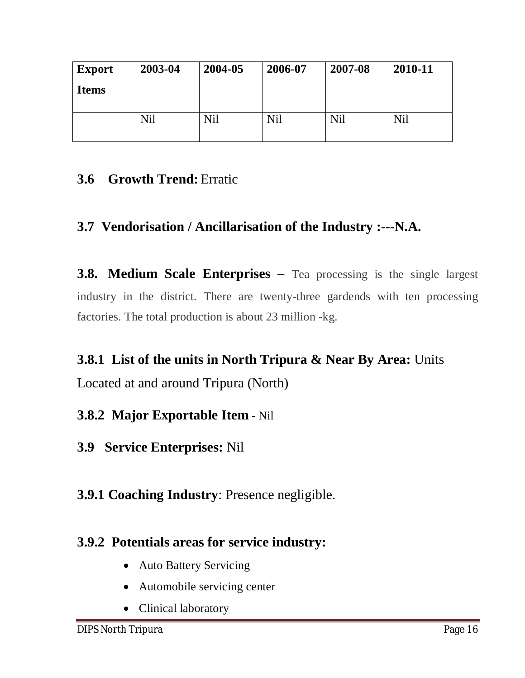| <b>Export</b> | 2003-04 | 2004-05 | 2006-07 | 2007-08 | 2010-11 |
|---------------|---------|---------|---------|---------|---------|
| <b>Items</b>  |         |         |         |         |         |
|               | Nil     | Nil     | Nil     | Nil     | Nil     |

### **3.6 Growth Trend:** Erratic

### **3.7 Vendorisation / Ancillarisation of the Industry :---N.A.**

**3.8. Medium Scale Enterprises –** Tea processing is the single largest industry in the district. There are twenty-three gardends with ten processing factories. The total production is about 23 million -kg.

**3.8.1 List of the units in North Tripura & Near By Area:** Units Located at and around Tripura (North)

### **3.8.2 Major Exportable Item -** Nil

**3.9 Service Enterprises:** Nil

**3.9.1 Coaching Industry**: Presence negligible.

### **3.9.2 Potentials areas for service industry:**

- Auto Battery Servicing
- Automobile servicing center
- Clinical laboratory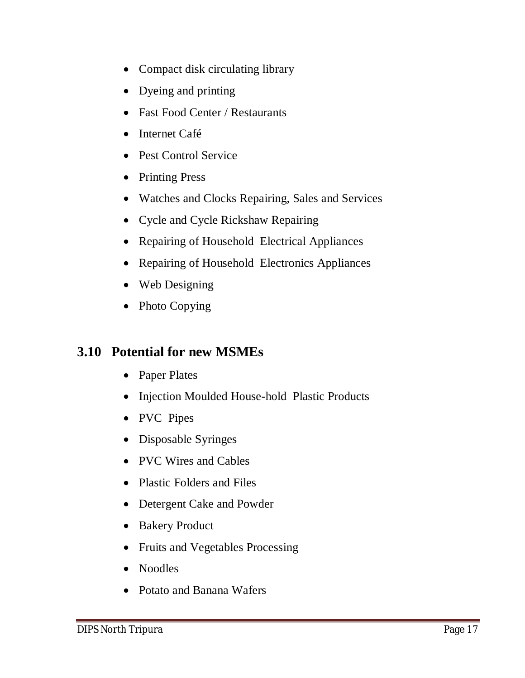- Compact disk circulating library
- Dyeing and printing
- Fast Food Center / Restaurants
- Internet Café
- Pest Control Service
- Printing Press
- Watches and Clocks Repairing, Sales and Services
- Cycle and Cycle Rickshaw Repairing
- Repairing of Household Electrical Appliances
- Repairing of Household Electronics Appliances
- Web Designing
- Photo Copying

### **3.10 Potential for new MSMEs**

- Paper Plates
- Injection Moulded House-hold Plastic Products
- PVC Pipes
- Disposable Syringes
- PVC Wires and Cables
- Plastic Folders and Files
- Detergent Cake and Powder
- Bakery Product
- Fruits and Vegetables Processing
- Noodles
- Potato and Banana Wafers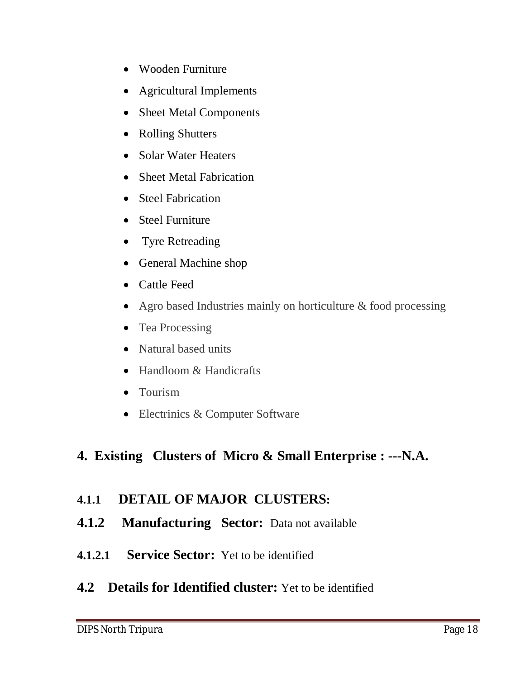- Wooden Furniture
- Agricultural Implements
- Sheet Metal Components
- Rolling Shutters
- Solar Water Heaters
- Sheet Metal Fabrication
- Steel Fabrication
- Steel Furniture
- Tyre Retreading
- General Machine shop
- Cattle Feed
- Agro based Industries mainly on horticulture & food processing
- Tea Processing
- Natural based units
- Handloom & Handicrafts
- Tourism
- Electrinics & Computer Software

### **4. Existing Clusters of Micro & Small Enterprise : ---N.A.**

#### **4.1.1 DETAIL OF MAJOR CLUSTERS:**

- **4.1.2 Manufacturing Sector:** Data not available
- **4.1.2.1 Service Sector:** Yet to be identified

#### **4.2 Details for Identified cluster:** Yet to be identified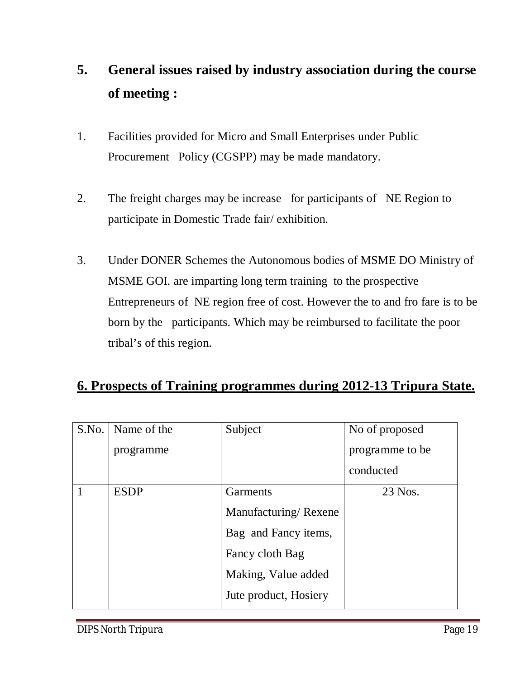# **5. General issues raised by industry association during the course of meeting :**

- 1. Facilities provided for Micro and Small Enterprises under Public Procurement Policy (CGSPP) may be made mandatory.
- 2. The freight charges may be increase for participants of NE Region to participate in Domestic Trade fair/ exhibition.
- 3. Under DONER Schemes the Autonomous bodies of MSME DO Ministry of MSME GOI. are imparting long term training to the prospective Entrepreneurs of NE region free of cost. However the to and fro fare is to be born by the participants. Which may be reimbursed to facilitate the poor tribal's of this region.

#### **6. Prospects of Training programmes during 2012-13 Tripura State.**

| S.No. | Name of the | Subject               | No of proposed  |
|-------|-------------|-----------------------|-----------------|
|       | programme   |                       | programme to be |
|       |             |                       | conducted       |
|       | <b>ESDP</b> | Garments              | 23 Nos.         |
|       |             | Manufacturing/Rexene  |                 |
|       |             | Bag and Fancy items,  |                 |
|       |             | Fancy cloth Bag       |                 |
|       |             | Making, Value added   |                 |
|       |             | Jute product, Hosiery |                 |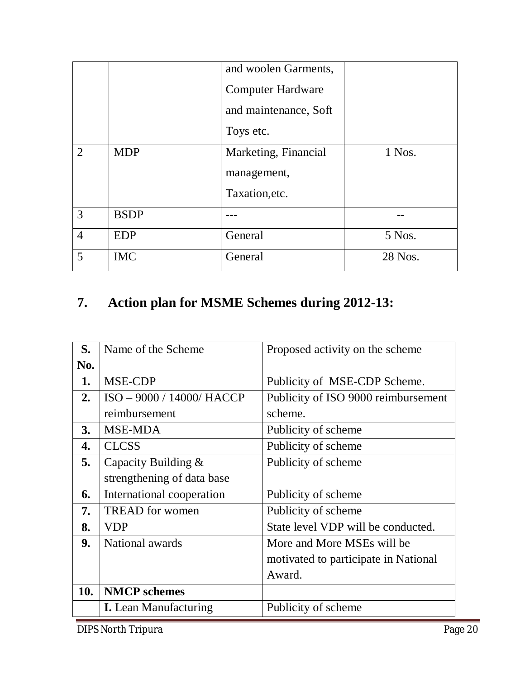|                |             | and woolen Garments,     |         |
|----------------|-------------|--------------------------|---------|
|                |             | <b>Computer Hardware</b> |         |
|                |             | and maintenance, Soft    |         |
|                |             | Toys etc.                |         |
| 2              | <b>MDP</b>  | Marketing, Financial     | 1 Nos.  |
|                |             | management,              |         |
|                |             | Taxation, etc.           |         |
| 3              | <b>BSDP</b> |                          |         |
| $\overline{4}$ | <b>EDP</b>  | General                  | 5 Nos.  |
| 5              | <b>IMC</b>  | General                  | 28 Nos. |

# **7. Action plan for MSME Schemes during 2012-13:**

| S.  | Name of the Scheme           | Proposed activity on the scheme      |
|-----|------------------------------|--------------------------------------|
| No. |                              |                                      |
| 1.  | MSE-CDP                      | Publicity of MSE-CDP Scheme.         |
| 2.  | ISO - 9000 / 14000/ HACCP    | Publicity of ISO 9000 reimbursement  |
|     | reimbursement                | scheme.                              |
| 3.  | <b>MSE-MDA</b>               | Publicity of scheme                  |
| 4.  | <b>CLCSS</b>                 | Publicity of scheme                  |
| 5.  | Capacity Building &          | Publicity of scheme                  |
|     | strengthening of data base   |                                      |
| 6.  | International cooperation    | Publicity of scheme                  |
| 7.  | <b>TREAD</b> for women       | Publicity of scheme                  |
| 8.  | <b>VDP</b>                   | State level VDP will be conducted.   |
| 9.  | National awards              | More and More MSEs will be           |
|     |                              | motivated to participate in National |
|     |                              | Award.                               |
| 10. | <b>NMCP</b> schemes          |                                      |
|     | <b>I.</b> Lean Manufacturing | Publicity of scheme                  |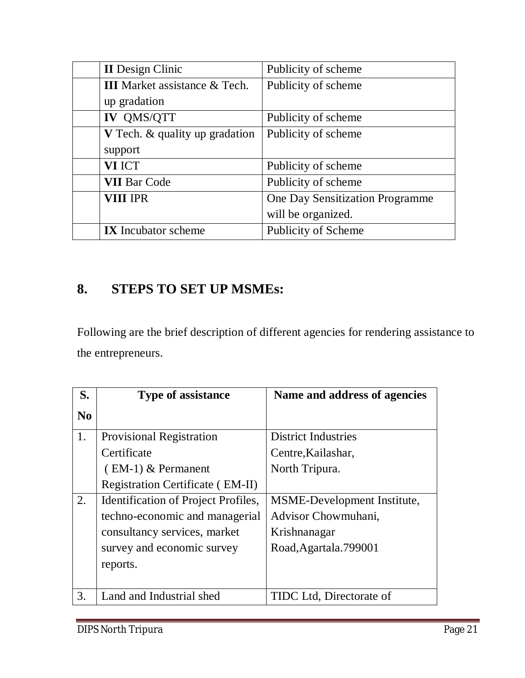| <b>II</b> Design Clinic               | Publicity of scheme             |
|---------------------------------------|---------------------------------|
| <b>III</b> Market assistance & Tech.  | Publicity of scheme             |
| up gradation                          |                                 |
| <b>IV QMS/QTT</b>                     | Publicity of scheme             |
| <b>V</b> Tech. & quality up gradation | Publicity of scheme             |
| support                               |                                 |
| <b>VI ICT</b>                         | Publicity of scheme             |
| <b>VII Bar Code</b>                   | Publicity of scheme             |
| <b>VIII IPR</b>                       | One Day Sensitization Programme |
|                                       | will be organized.              |
| <b>IX</b> Incubator scheme            | Publicity of Scheme             |

### **8. STEPS TO SET UP MSMEs:**

Following are the brief description of different agencies for rendering assistance to the entrepreneurs.

| S.             | <b>Type of assistance</b>               | Name and address of agencies       |
|----------------|-----------------------------------------|------------------------------------|
| N <sub>0</sub> |                                         |                                    |
| 1.             | <b>Provisional Registration</b>         | <b>District Industries</b>         |
|                | Certificate                             | Centre, Kailashar,                 |
|                | $(EM-1)$ & Permanent                    | North Tripura.                     |
|                | <b>Registration Certificate (EM-II)</b> |                                    |
| 2.             | Identification of Project Profiles,     | <b>MSME-Development Institute,</b> |
|                | techno-economic and managerial          | Advisor Chowmuhani,                |
|                | consultancy services, market            | Krishnanagar                       |
|                | survey and economic survey              | Road, Agartala. 799001             |
|                | reports.                                |                                    |
|                |                                         |                                    |
| 3.             | Land and Industrial shed                | TIDC Ltd, Directorate of           |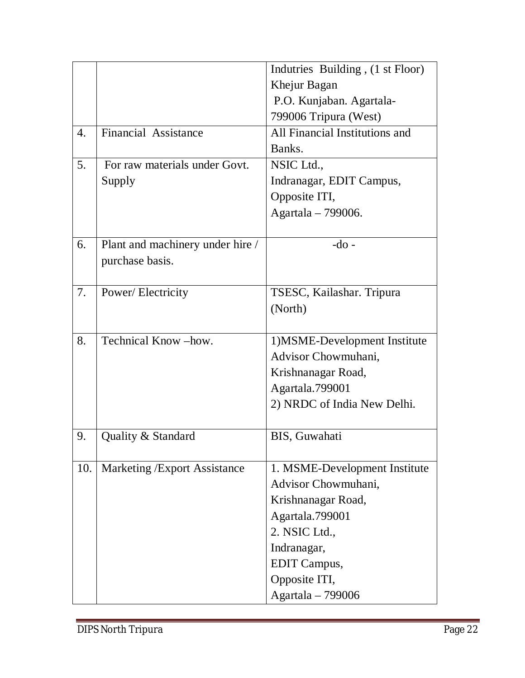|     |                                      | Indutries Building, (1 st Floor) |
|-----|--------------------------------------|----------------------------------|
|     |                                      | Khejur Bagan                     |
|     |                                      | P.O. Kunjaban. Agartala-         |
|     |                                      | 799006 Tripura (West)            |
| 4.  | Financial Assistance                 | All Financial Institutions and   |
|     |                                      | Banks.                           |
| 5.  | For raw materials under Govt.        | NSIC Ltd.,                       |
|     | Supply                               | Indranagar, EDIT Campus,         |
|     |                                      | Opposite ITI,                    |
|     |                                      | Agartala - 799006.               |
|     |                                      |                                  |
| 6.  | Plant and machinery under hire /     | $-do$ -                          |
|     | purchase basis.                      |                                  |
|     |                                      |                                  |
| 7.  | Power/Electricity                    | TSESC, Kailashar. Tripura        |
|     |                                      | (North)                          |
|     |                                      |                                  |
| 8.  | Technical Know-how.                  | 1) MSME-Development Institute    |
|     |                                      | Advisor Chowmuhani,              |
|     |                                      | Krishnanagar Road,               |
|     |                                      | Agartala.799001                  |
|     |                                      | 2) NRDC of India New Delhi.      |
|     |                                      |                                  |
| 9.  | Quality & Standard                   | BIS, Guwahati                    |
|     |                                      |                                  |
| 10. | <b>Marketing / Export Assistance</b> | 1. MSME-Development Institute    |
|     |                                      | Advisor Chowmuhani,              |
|     |                                      | Krishnanagar Road,               |
|     |                                      | Agartala.799001                  |
|     |                                      | 2. NSIC Ltd.,                    |
|     |                                      | Indranagar,                      |
|     |                                      | <b>EDIT</b> Campus,              |
|     |                                      | Opposite ITI,                    |
|     |                                      | Agartala - 799006                |